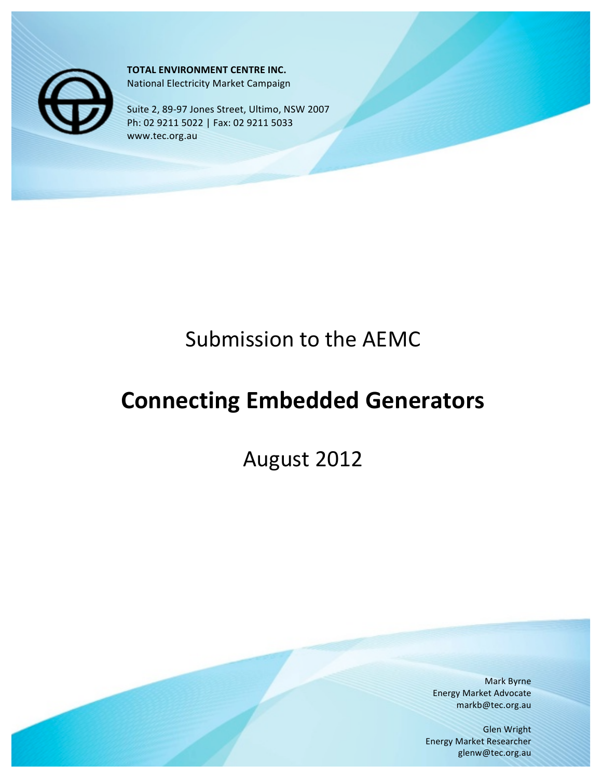

**TOTAL ENVIRONMENT CENTRE INC.** National Electricity Market Campaign

Suite 2, 89-97 Jones Street, Ultimo, NSW 2007 Ph: 02 9211 5022 | Fax: 02 9211 5033 www.tec.org.au

# Submission to the AEMC

# **Connecting Embedded Generators**

August 2012

Mark Byrne **Energy Market Advocate** markb@tec.org.au

**Glen Wright** Energy Market Researcher glenw@tec.org.au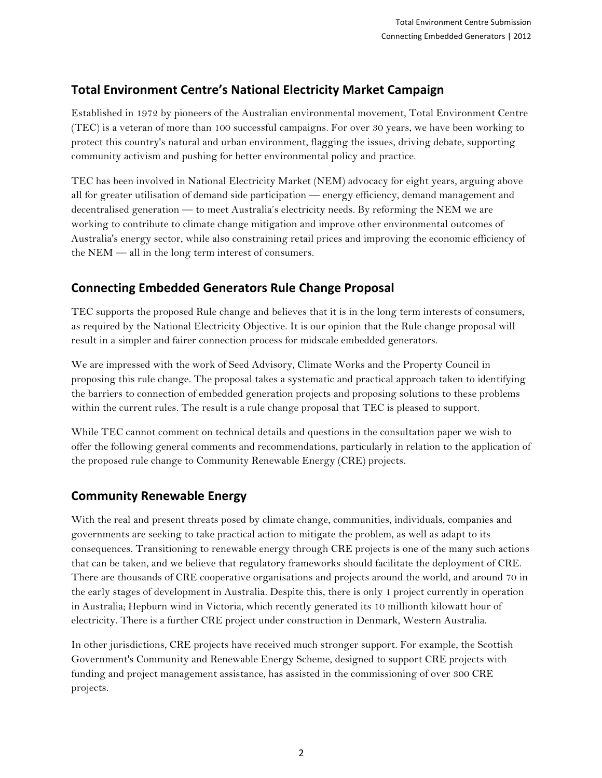## **Total%Environment%Centre's%National%Electricity%Market%Campaign**

Established in 1972 by pioneers of the Australian environmental movement, Total Environment Centre (TEC) is a veteran of more than 100 successful campaigns. For over 30 years, we have been working to protect this country's natural and urban environment, flagging the issues, driving debate, supporting community activism and pushing for better environmental policy and practice.

TEC has been involved in National Electricity Market (NEM) advocacy for eight years, arguing above all for greater utilisation of demand side participation — energy efficiency, demand management and decentralised generation — to meet Australia's electricity needs. By reforming the NEM we are working to contribute to climate change mitigation and improve other environmental outcomes of Australia's energy sector, while also constraining retail prices and improving the economic efficiency of the NEM — all in the long term interest of consumers.

### **Connecting%Embedded%Generators Rule%Change%Proposal**

TEC supports the proposed Rule change and believes that it is in the long term interests of consumers, as required by the National Electricity Objective. It is our opinion that the Rule change proposal will result in a simpler and fairer connection process for midscale embedded generators.

We are impressed with the work of Seed Advisory, Climate Works and the Property Council in proposing this rule change. The proposal takes a systematic and practical approach taken to identifying the barriers to connection of embedded generation projects and proposing solutions to these problems within the current rules. The result is a rule change proposal that TEC is pleased to support.

While TEC cannot comment on technical details and questions in the consultation paper we wish to offer the following general comments and recommendations, particularly in relation to the application of the proposed rule change to Community Renewable Energy (CRE) projects.

### **Community Renewable Energy**

With the real and present threats posed by climate change, communities, individuals, companies and governments are seeking to take practical action to mitigate the problem, as well as adapt to its consequences. Transitioning to renewable energy through CRE projects is one of the many such actions that can be taken, and we believe that regulatory frameworks should facilitate the deployment of CRE. There are thousands of CRE cooperative organisations and projects around the world, and around 70 in the early stages of development in Australia. Despite this, there is only 1 project currently in operation in Australia; Hepburn wind in Victoria, which recently generated its 10 millionth kilowatt hour of electricity. There is a further CRE project under construction in Denmark, Western Australia.

In other jurisdictions, CRE projects have received much stronger support. For example, the Scottish Government's Community and Renewable Energy Scheme, designed to support CRE projects with funding and project management assistance, has assisted in the commissioning of over 300 CRE projects.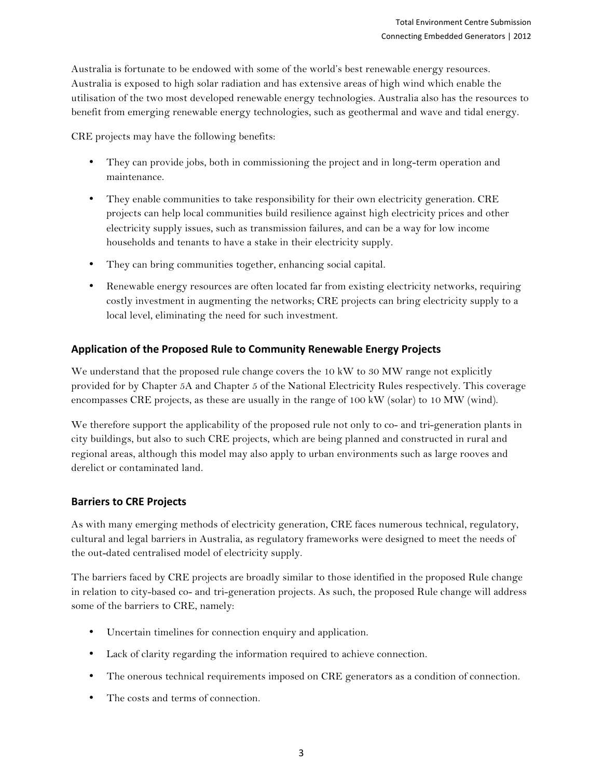Australia is fortunate to be endowed with some of the world's best renewable energy resources. Australia is exposed to high solar radiation and has extensive areas of high wind which enable the utilisation of the two most developed renewable energy technologies. Australia also has the resources to benefit from emerging renewable energy technologies, such as geothermal and wave and tidal energy.

CRE projects may have the following benefits:

- They can provide jobs, both in commissioning the project and in long-term operation and maintenance.
- They enable communities to take responsibility for their own electricity generation. CRE projects can help local communities build resilience against high electricity prices and other electricity supply issues, such as transmission failures, and can be a way for low income households and tenants to have a stake in their electricity supply.
- They can bring communities together, enhancing social capital.
- Renewable energy resources are often located far from existing electricity networks, requiring costly investment in augmenting the networks; CRE projects can bring electricity supply to a local level, eliminating the need for such investment.

#### **Application%of%the%Proposed%Rule%to%Community%Renewable%Energy%Projects**

We understand that the proposed rule change covers the 10 kW to 30 MW range not explicitly provided for by Chapter 5A and Chapter 5 of the National Electricity Rules respectively. This coverage encompasses CRE projects, as these are usually in the range of 100 kW (solar) to 10 MW (wind).

We therefore support the applicability of the proposed rule not only to co- and tri-generation plants in city buildings, but also to such CRE projects, which are being planned and constructed in rural and regional areas, although this model may also apply to urban environments such as large rooves and derelict or contaminated land.

#### **Barriers to CRE Projects**

As with many emerging methods of electricity generation, CRE faces numerous technical, regulatory, cultural and legal barriers in Australia, as regulatory frameworks were designed to meet the needs of the out-dated centralised model of electricity supply.

The barriers faced by CRE projects are broadly similar to those identified in the proposed Rule change in relation to city-based co- and tri-generation projects. As such, the proposed Rule change will address some of the barriers to CRE, namely:

- Uncertain timelines for connection enquiry and application.
- Lack of clarity regarding the information required to achieve connection.
- The onerous technical requirements imposed on CRE generators as a condition of connection.
- The costs and terms of connection.